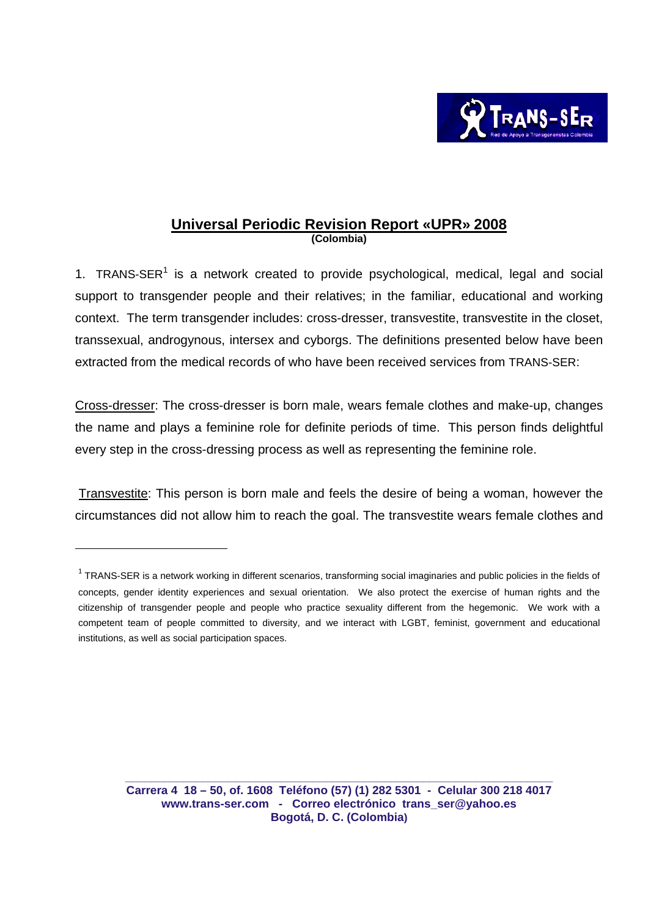

## **Universal Periodic Revision Report «UPR» 2008 (Colombia)**

1. TRANS-SER $<sup>1</sup>$  is a network created to provide psychological, medical, legal and social</sup> support to transgender people and their relatives; in the familiar, educational and working context. The term transgender includes: cross-dresser, transvestite, transvestite in the closet, transsexual, androgynous, intersex and cyborgs. The definitions presented below have been extracted from the medical records of who have been received services from TRANS-SER:

Cross-dresser: The cross-dresser is born male, wears female clothes and make-up, changes the name and plays a feminine role for definite periods of time. This person finds delightful every step in the cross-dressing process as well as representing the feminine role.

 Transvestite: This person is born male and feels the desire of being a woman, however the circumstances did not allow him to reach the goal. The transvestite wears female clothes and

 $1$  TRANS-SER is a network working in different scenarios, transforming social imaginaries and public policies in the fields of concepts, gender identity experiences and sexual orientation. We also protect the exercise of human rights and the citizenship of transgender people and people who practice sexuality different from the hegemonic. We work with a competent team of people committed to diversity, and we interact with LGBT, feminist, government and educational institutions, as well as social participation spaces.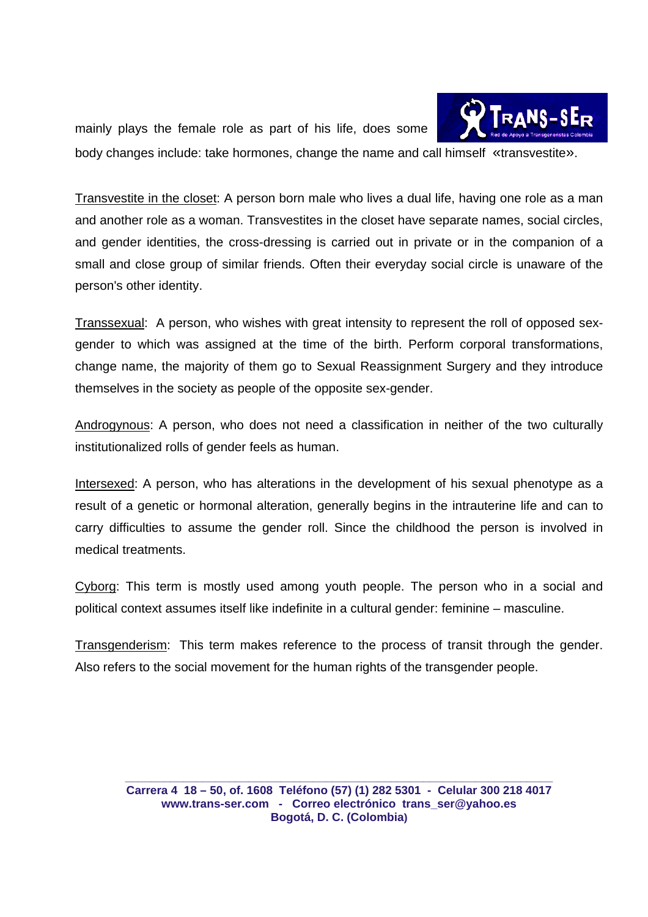Trans-sE<del>d</del> mainly plays the female role as part of his life, does some body changes include: take hormones, change the name and call himself «transvestite».

Transvestite in the closet: A person born male who lives a dual life, having one role as a man and another role as a woman. Transvestites in the closet have separate names, social circles, and gender identities, the cross-dressing is carried out in private or in the companion of a small and close group of similar friends. Often their everyday social circle is unaware of the person's other identity.

Transsexual: A person, who wishes with great intensity to represent the roll of opposed sexgender to which was assigned at the time of the birth. Perform corporal transformations, change name, the majority of them go to Sexual Reassignment Surgery and they introduce themselves in the society as people of the opposite sex-gender.

Androgynous: A person, who does not need a classification in neither of the two culturally institutionalized rolls of gender feels as human.

Intersexed: A person, who has alterations in the development of his sexual phenotype as a result of a genetic or hormonal alteration, generally begins in the intrauterine life and can to carry difficulties to assume the gender roll. Since the childhood the person is involved in medical treatments.

Cyborg: This term is mostly used among youth people. The person who in a social and political context assumes itself like indefinite in a cultural gender: feminine – masculine.

Transgenderism: This term makes reference to the process of transit through the gender. Also refers to the social movement for the human rights of the transgender people.

**Carrera 4 18 – 50, of. 1608 Teléfono (57) (1) 282 5301 - Celular 300 218 4017 www.trans-ser.com - Correo electrónico trans\_ser@yahoo.es Bogotá, D. C. (Colombia)**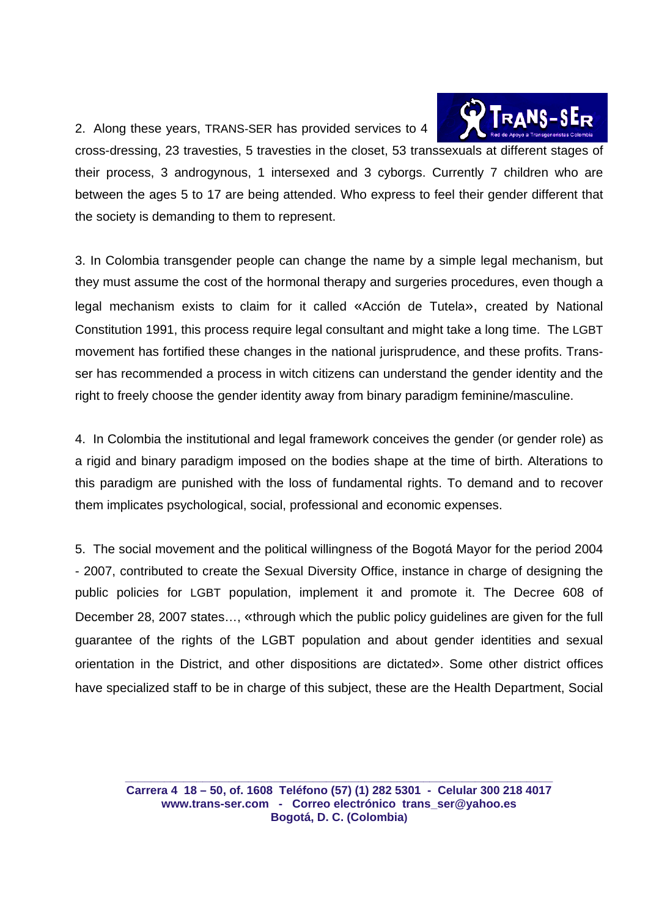2. Along these years, TRANS-SER has provided services to 4



cross-dressing, 23 travesties, 5 travesties in the closet, 53 transsexuals at different stages of their process, 3 androgynous, 1 intersexed and 3 cyborgs. Currently 7 children who are between the ages 5 to 17 are being attended. Who express to feel their gender different that the society is demanding to them to represent.

3. In Colombia transgender people can change the name by a simple legal mechanism, but they must assume the cost of the hormonal therapy and surgeries procedures, even though a legal mechanism exists to claim for it called «Acción de Tutela», created by National Constitution 1991, this process require legal consultant and might take a long time. The LGBT movement has fortified these changes in the national jurisprudence, and these profits. Transser has recommended a process in witch citizens can understand the gender identity and the right to freely choose the gender identity away from binary paradigm feminine/masculine.

4. In Colombia the institutional and legal framework conceives the gender (or gender role) as a rigid and binary paradigm imposed on the bodies shape at the time of birth. Alterations to this paradigm are punished with the loss of fundamental rights. To demand and to recover them implicates psychological, social, professional and economic expenses.

5. The social movement and the political willingness of the Bogotá Mayor for the period 2004 - 2007, contributed to create the Sexual Diversity Office, instance in charge of designing the public policies for LGBT population, implement it and promote it. The Decree 608 of December 28, 2007 states…, «through which the public policy guidelines are given for the full guarantee of the rights of the LGBT population and about gender identities and sexual orientation in the District, and other dispositions are dictated». Some other district offices have specialized staff to be in charge of this subject, these are the Health Department, Social

**Carrera 4 18 – 50, of. 1608 Teléfono (57) (1) 282 5301 - Celular 300 218 4017 www.trans-ser.com - Correo electrónico trans\_ser@yahoo.es Bogotá, D. C. (Colombia)**